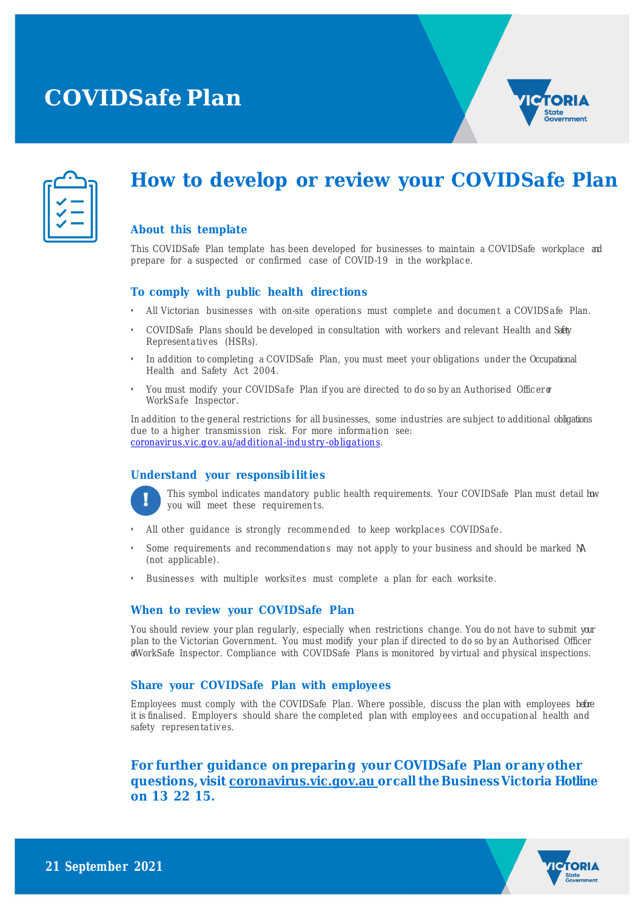# **COVIDSafe Plan**



### **How to develop or review your COVIDSafe Plan**

#### **About this template**

This COVIDSafe Plan template has been developed for businesses to maintain a COVIDSafe workplace and prepare for a suspected or confirmed case of COVID-19 in the workplace.

#### **To comply with public health directions**

- All Victorian businesses with on-site operations must complete and document a COVIDSafe Plan.
- COVIDSafe Plans should be developed in consultation with workers and relevant Health and Safety Representatives (HSRs).
- In addition to completing a COVIDSafe Plan, you must meet your obligations under the Occupational Health and Safety Act 2004.
- You must modify your COVIDSafe Plan if you are directed to do so by an Authorised Officeror WorkSafe Inspector.

In addition to the general restrictions for all businesses, some industries are subject to additional obligations due to a higher transmission risk. For more information see: coronavirus.vic.g ov.au/ad ditional-ind ustry -obligations.

#### **Understand your responsib i lit ies**



This symbol indicates mandatory public health requirements. Your COVIDSafe Plan must detail how you will meet these requirements.

- All other guidance is strongly recommended to keep workplaces COVIDSafe.
- Some requirements and recommendations may not apply to your business and should be marked M (not applicable).
- Businesses with multiple worksites must complete a plan for each worksite.

#### **When to review your COVIDSafe Plan**

You should review your plan regularly, especially when restrictions change. You do not have to submit your plan to the Victorian Government. You must modify your plan if directed to do so by an Authorised Officer orWorkSafe Inspector. Compliance with COVIDSafe Plans is monitored by virtual and physical inspections.

#### **Share your COVIDSafe Plan with employees**

Employees must comply with the COVIDSafe Plan. Where possible, discuss the plan with employees before it is finalised. Employers should share the completed plan with employees and occupational health and safety representatives.

### **For further guidance on preparing your COVIDSafe Plan or any other questions, visit coronavirus.vic.gov.au orcall the BusinessVictoria Hotline on 13 22 15.**

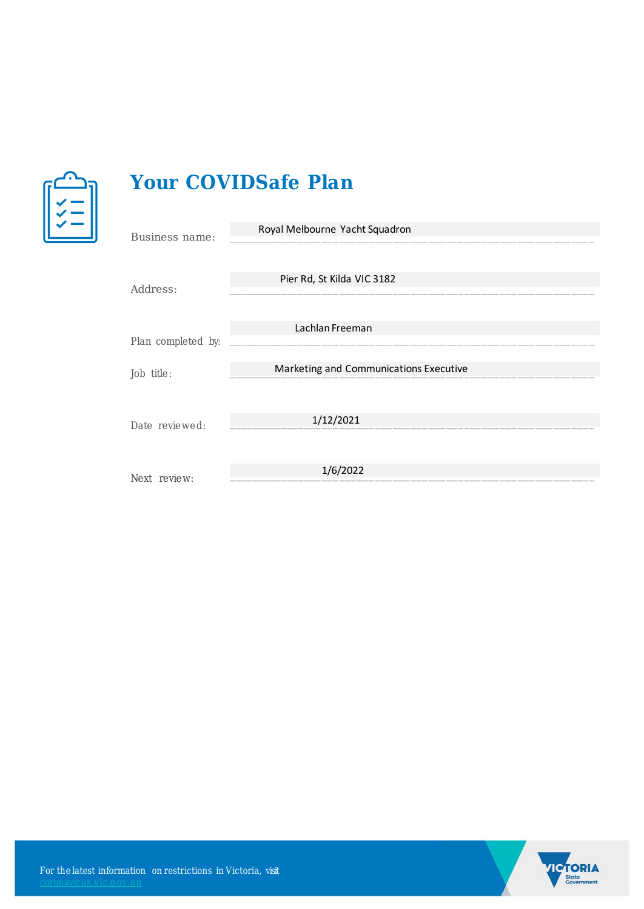

## **Your COVIDSafe Plan**

| Business name:     | Royal Melbourne Yacht Squadron         |
|--------------------|----------------------------------------|
|                    |                                        |
|                    |                                        |
|                    | Pier Rd, St Kilda VIC 3182             |
| Address:           |                                        |
|                    |                                        |
|                    | Lachlan Freeman                        |
| Plan completed by: |                                        |
|                    |                                        |
| Job title:         | Marketing and Communications Executive |
|                    |                                        |
|                    |                                        |
| Date reviewed:     | 1/12/2021                              |
|                    |                                        |
|                    |                                        |
| Next review:       | 1/6/2022                               |
|                    |                                        |

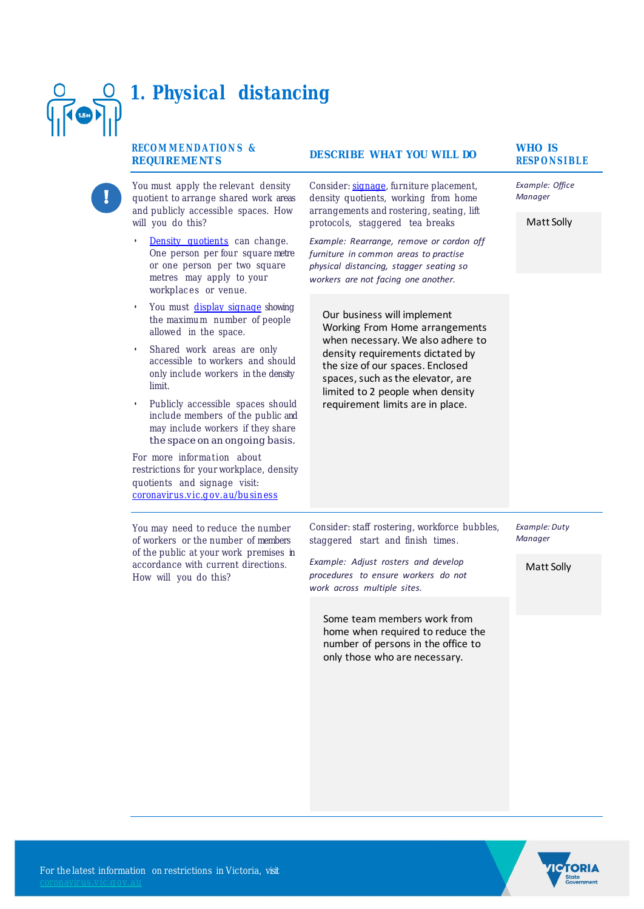#### **1. Physical distancing**  $\sqrt{\log n}$ **RECO M M E N D A T IO N S & WHO IS RESP ON STATE WHAT YOU WILL DO** RESPONSIBLE **REQUIREMENT S** You must apply the relevant density Consider: signage, furniture placement, *Example: Office*  quotient to arrange shared work areas density quotients, working from home *Manager* and publicly accessible spaces. How arrangements and rostering, seating, lift Matt Solly will you do this? protocols, staggered tea breaks Density quotients can change. *Example: Rearrange, remove or cordon off*  One person per four square metre *furniture in common areas to practise*  or one person per two square *physical distancing, stagger seating so*  metres may apply to your *workers are not facing one another.* workplaces or venue. • You must display signage showing Our business will implement the maximum number of people Working From Home arrangements allowed in the space. when necessary. We also adhere to Shared work areas are only density requirements dictated by accessible to workers and should the size of our spaces. Enclosed only include workers in the density spaces, such as the elevator, are limit. limited to 2 people when density Publicly accessible spaces should requirement limits are in place.include members of the public and may include workers if they share the space on an ongoing basis. For more information about restrictions for your workplace, density quotients and signage visit: coronavirus.vic.g ov.au/business You may need to reduce the number Consider: staff rostering, workforce bubbles, *Example: Duty Manager* of workers or the number of members staggered start and finish times. of the public at your work premises in *Example: Adjust rosters and develop*  accordance with current directions.

*procedures to ensure workers do not* 

Some team members work from home when required to reduce the number of persons in the office to only those who are necessary.

*work across multiple sites.*



Matt Solly

How will you do this?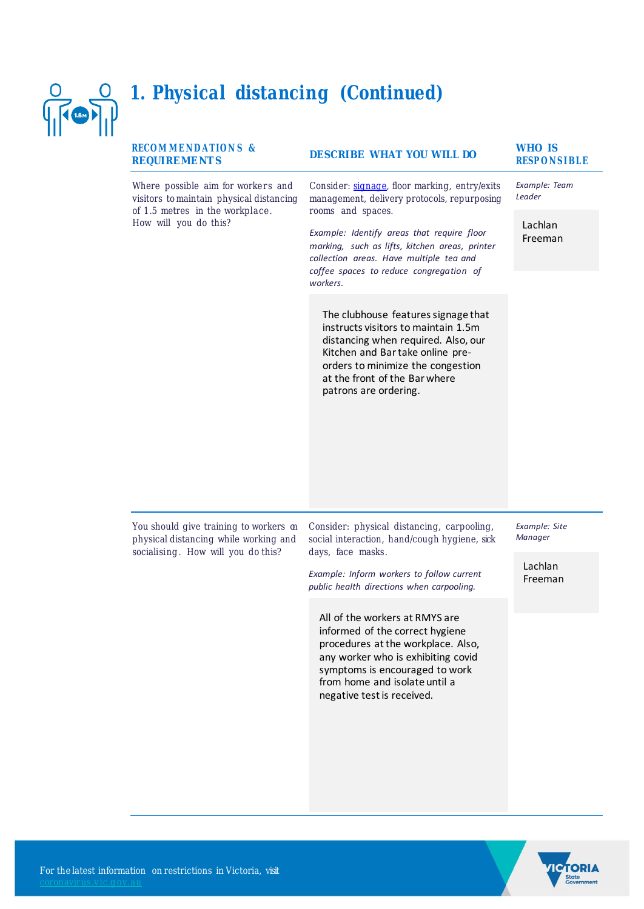

### **1. Physical distancing (Continued)**

#### **RECO M M E N D A T IO N S & REQUIREMENT S**

Where possible aim for workers and visitors to maintain physical distancing of 1.5 metres in the workplace. How will you do this?

### **RESP ON STATE WHAT YOU WILL DO**

Consider: signage, floor marking, entry/exits management, delivery protocols, repurposing rooms and spaces.

*Example: Identify areas that require floor marking, such as lifts, kitchen areas, printer collection areas. Have multiple tea and coffee spaces to reduce congregation of workers.*

The clubhouse features signage that instructs visitors to maintain 1.5m distancing when required. Also, our Kitchen and Bar take online preorders to minimize the congestion at the front of the Bar where patrons are ordering.

# **WHO IS**

*Example: Team Leader*

> Lachlan Freeman

You should give training to workers on physical distancing while working and socialising. How will you do this?

Consider: physical distancing, carpooling, social interaction, hand/cough hygiene, sick days, face masks.

*Example: Inform workers to follow current public health directions when carpooling.*

All of the workers at RMYS are informed of the correct hygiene procedures at the workplace. Also, any worker who is exhibiting covid symptoms is encouraged to work from home and isolate until a negative test is received.

*Example: Site Manager*

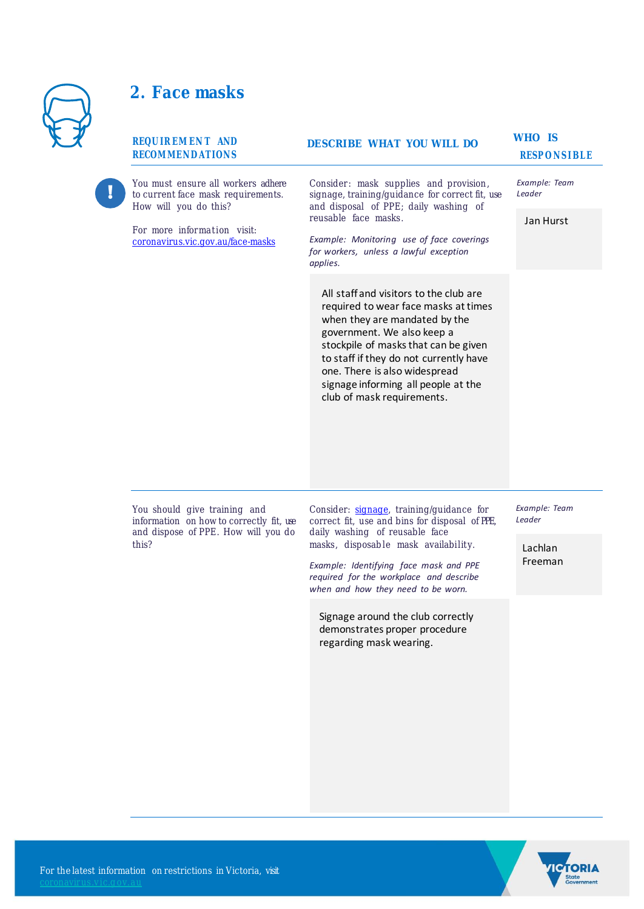

## **2. Face masks**

| <b>REQUIREMENT AND</b><br><b>RECOMMENDATIONS</b>                                                                                                                      | <b>DESCRIBE WHAT YOU WILL DO</b>                                                                                                                                                                                                                                                                                                      | <b>WHO IS</b><br><b>RESPONSIBLE</b>           |
|-----------------------------------------------------------------------------------------------------------------------------------------------------------------------|---------------------------------------------------------------------------------------------------------------------------------------------------------------------------------------------------------------------------------------------------------------------------------------------------------------------------------------|-----------------------------------------------|
| You must ensure all workers adhere<br>to current face mask requirements.<br>How will you do this?<br>For more information visit:<br>coronavirus.vic.gov.au/face-masks | Consider: mask supplies and provision,<br>signage, training/guidance for correct fit, use<br>and disposal of PPE; daily washing of<br>reusable face masks.<br>Example: Monitoring use of face coverings<br>for workers, unless a lawful exception<br>applies.                                                                         | Example: Team<br>Leader<br>Jan Hurst          |
|                                                                                                                                                                       | All staff and visitors to the club are<br>required to wear face masks at times<br>when they are mandated by the<br>government. We also keep a<br>stockpile of masks that can be given<br>to staff if they do not currently have<br>one. There is also widespread<br>signage informing all people at the<br>club of mask requirements. |                                               |
| You should give training and<br>information on how to correctly fit, use<br>and dispose of PPE. How will you do<br>this?                                              | Consider: signage, training/guidance for<br>correct fit, use and bins for disposal of PPE,<br>daily washing of reusable face<br>masks, disposable mask availability.<br>Example: Identifying face mask and PPE<br>required for the workplace and describe<br>when and how they need to be worn.                                       | Example: Team<br>Leader<br>Lachlan<br>Freeman |
|                                                                                                                                                                       | Signage around the club correctly<br>demonstrates proper procedure<br>regarding mask wearing.                                                                                                                                                                                                                                         |                                               |

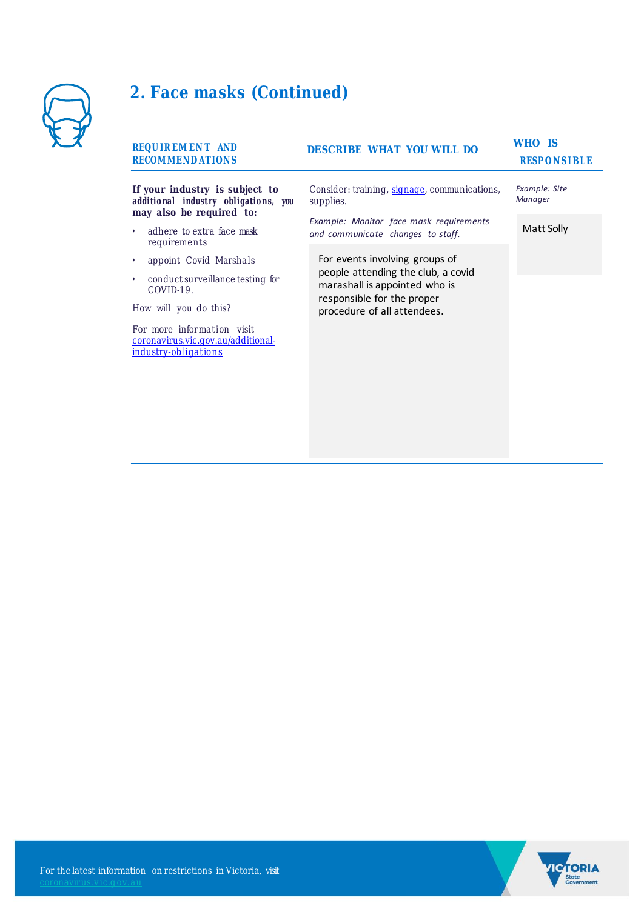

# **2. Face masks (Continued)**

| <b>REQUIREMENT AND</b><br><b>RECOMMENDATIONS</b>                                                   | <b>DESCRIBE WHAT YOU WILL DO</b>                                                                  | WHO IS<br><b>RESPONSIBLE</b> |
|----------------------------------------------------------------------------------------------------|---------------------------------------------------------------------------------------------------|------------------------------|
| If your industry is subject to<br>additional industry obligations, you<br>may also be required to: | Consider: training, signage, communications,<br>supplies.                                         | Example: Site<br>Manager     |
| adhere to extra face mask<br>$\bullet$<br>requirements                                             | Example: Monitor face mask requirements<br>and communicate changes to staff.                      | Matt Solly                   |
| appoint Covid Marshals<br>٠                                                                        | For events involving groups of                                                                    |                              |
| conduct surveillance testing for<br>٠<br>COVID-19.                                                 | people attending the club, a covid<br>marashall is appointed who is<br>responsible for the proper |                              |
| How will you do this?                                                                              | procedure of all attendees.                                                                       |                              |
| For more information visit<br>coronavirus.vic.gov.au/additional-<br>industry-obligations           |                                                                                                   |                              |
|                                                                                                    |                                                                                                   |                              |
|                                                                                                    |                                                                                                   |                              |
|                                                                                                    |                                                                                                   |                              |



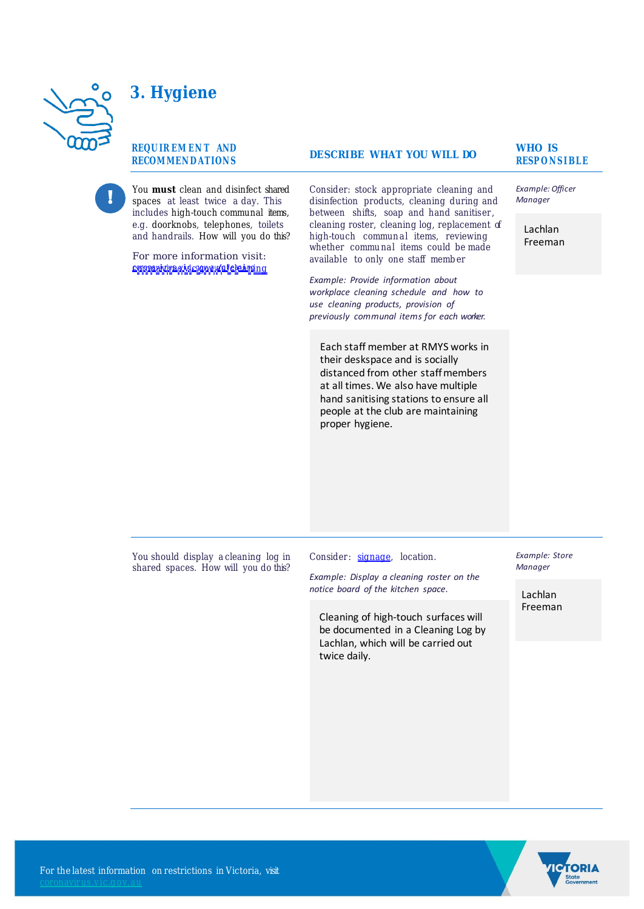### **3. Hygiene**

#### **REQU IR EM EN T AND RECOMMEN D AT ION S**

You **must** clean and disinfect shared spaces at least twice a day. This includes high-touch communal items, e.g. doorknobs, telephones, toilets and handrails. How will you do this?

For more information visit: r or more mormanon visit.<br><u>cenopapidravideogovu.tolekainng</u>

**RESP ON STATE WHAT YOU WILL DO** 

Consider: stock appropriate cleaning and disinfection products, cleaning during and between shifts, soap and hand sanitiser, cleaning roster, cleaning log, replacement of high-touch communal items, reviewing whether communal items could be made available to only one staff memb er

*Example: Provide information about workplace cleaning schedule and how to use cleaning products, provision of previously communal items for each worker.*

Each staff member at RMYS works in their deskspace and is socially distanced from other staff members at all times. We also have multiple hand sanitising stations to ensure all people at the club are maintaining proper hygiene.

**WHO IS** 

*Example: Officer Manager*

Lachlan Freeman

You should display a cleaning log in shared spaces. How will you do this?

Consider: signage, location.

*Example: Display a cleaning roster on the notice board of the kitchen space.*

Cleaning of high-touch surfaces will be documented in a Cleaning Log by Lachlan, which will be carried out twice daily.

*Example: Store Manager*

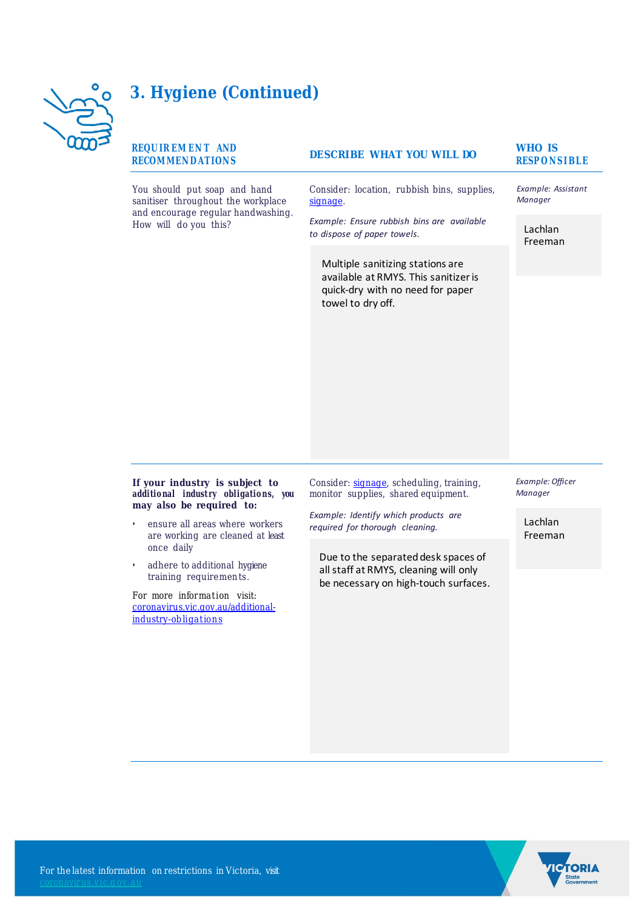

### **3. Hygiene (Continued)**

#### **REQU IR EM EN T AND RECOMMEN D AT ION S**

You should put soap and hand sanitiser throughout the workplace and encourage regular handwashing. How will do you this?

### **RESP ON STATE WHAT YOU WILL DO**

Consider: location, rubbish bins, supplies, signage.

*Example: Ensure rubbish bins are available to dispose of paper towels.*

Multiple sanitizing stations are available at RMYS. This sanitizer is quick-dry with no need for paper towel to dry off.

# **WHO IS**

*Example: Assistant Manager*

Lachlan Freeman

#### **If your industry is subject to additio nal indust ry obligatio ns, you may also be required to:**

- ensure all areas where workers are working are cleaned at least once daily
- adhere to additional hygiene training requirements.

For more information visit: coronavirus.vic.gov.au/additionalindustry-obligations

Consider: signage, scheduling, training, monitor supplies, shared equipment.

*Example: Identify which products are required for thorough cleaning.*

Due to the separated desk spaces of all staff at RMYS, cleaning will only be necessary on high-touch surfaces. *Example: Officer Manager*

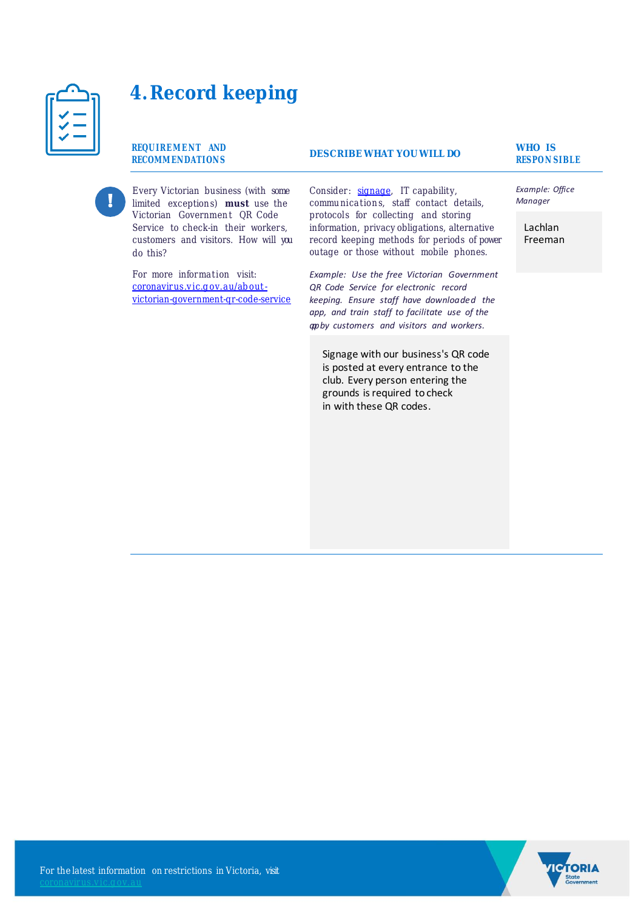

# **4.Record keeping**

**REQUIREMENT AND RECOMM ENDATION S**

Every Victorian business (with some limited exceptions) **must** use the Victorian Government QR Code Service to check-in their workers, customers and visitors. How will you do this?

For more information visit: coronavirus.vic.g ov.au/ab out victorian-government-qr-code-service **RESPO N SIBLE DESCRIBE WHAT YOU WILL DO**

Consider: signage, IT capability, communications, staff contact details, protocols for collecting and storing information, privacy obligations, alternative record keeping methods for periods of power outage or those without mobile phones.

*Example: Use the free Victorian Government QR Code Service for electronic record keeping. Ensure staff have downloaded the app, and train staff to facilitate use of the app by customers and visitors and workers.*

Signage with our business's QR code is posted at every entrance to the club. Every person entering the grounds is required to check in with these QR codes.

# **WHO IS**

*Example: Office Manager*

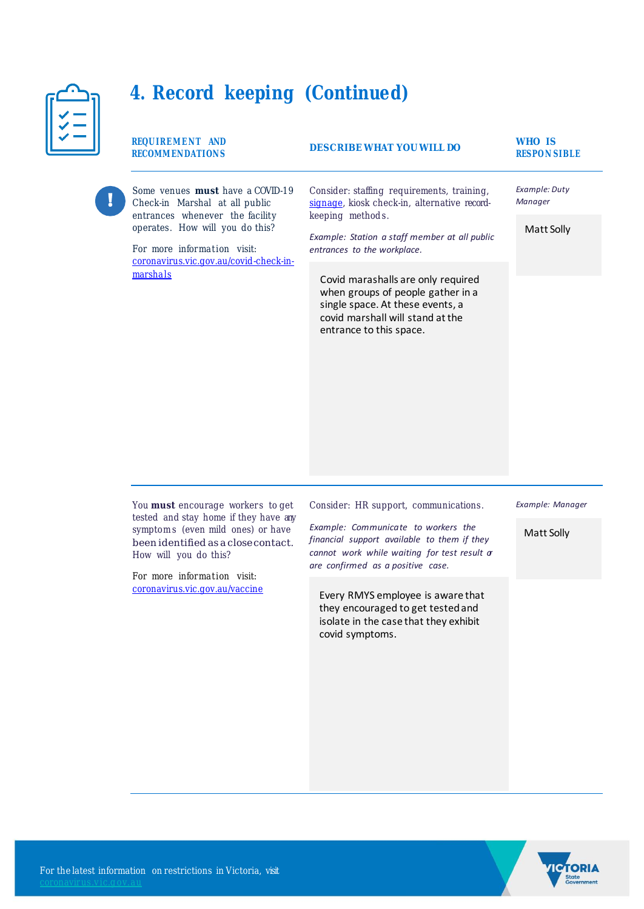| in a shekara |  |
|--------------|--|
|              |  |
|              |  |
|              |  |

# **4. Record keeping (Continued)**

|  | REQUIREMENT AND<br><b>RECOMMENDATIONS</b>                                                                                                                                      | <b>DESCRIBE WHAT YOU WILL DO</b>                                                                                                                                                               | WHO IS<br><b>RESPON SIBLE</b> |
|--|--------------------------------------------------------------------------------------------------------------------------------------------------------------------------------|------------------------------------------------------------------------------------------------------------------------------------------------------------------------------------------------|-------------------------------|
|  | Some venues <b>must</b> have a COVID-19<br>Check-in Marshal at all public<br>entrances whenever the facility<br>operates. How will you do this?<br>For more information visit: | Consider: staffing requirements, training,<br>signage, kiosk check-in, alternative record-<br>keeping methods.<br>Example: Station a staff member at all public<br>entrances to the workplace. | Example: Duty<br>Manager      |
|  |                                                                                                                                                                                |                                                                                                                                                                                                | Matt Solly                    |
|  | coronavirus.vic.gov.au/covid-check-in-<br>marshals                                                                                                                             | Covid marashalls are only required<br>when groups of people gather in a<br>single space. At these events, a<br>covid marshall will stand at the<br>entrance to this space.                     |                               |

You **must** encourage workers to get tested and stay home if they have any symptoms (even mild ones) or have been identified as a closecontact. How will you do this?

For more information visit: coronavirus.vic.gov.au/vaccine Consider: HR support, communications.

*Example: Communicate to workers the financial support available to them if they cannot work while waiting for test result or are confirmed as a positive case.*

Every RMYS employee is aware that they encouraged to get tested and isolate in the case that they exhibit covid symptoms.



Matt Solly

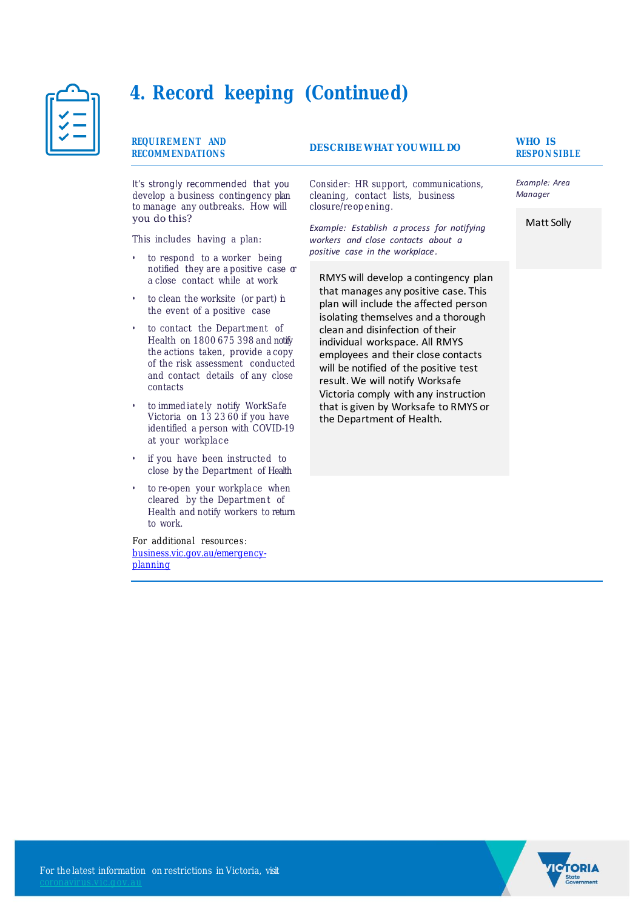

### **4. Record keeping (Continued)**

#### **REQUIREMENT AND RECOMM ENDATION S**

### **RESPONSIBLE WHAT YOU WILL DO RESPONSIBLE**

**WHO IS** 

*Example: Area Manager*

Matt Solly

It's strongly recommended that you develop a business contingency plan to manage any outbreaks. How will you do this?

This includes having a plan:

- to respond to a worker being notified they are a positive case or a close contact while at work
- to clean the worksite (or part) in the event of a positive case
- to contact the Department of Health on 1800 675 398 and notify the actions taken, provide a copy of the risk assessment conducted and contact details of any close contacts
- to immediately notify WorkSafe Victoria on  $132360$  if you have identified a person with COVID-19 at your workplace
- if you have been instructed to close by the Department of Health
- to re-open your workplace when cleared by the Department of Health and notify workers to return to work.

For additional resources: business.vic.gov.au/emergencyplanning

Consider: HR support, communications, cleaning, contact lists, business closure/reopening.

*Example: Establish a process for notifying workers and close contacts about a positive case in the workplace.*

RMYS will develop a contingency plan that manages any positive case. This plan will include the affected person isolating themselves and a thorough clean and disinfection of their individual workspace. All RMYS employees and their close contacts will be notified of the positive test result. We will notify Worksafe Victoria comply with any instruction that is given by Worksafe to RMYS or the Department of Health.

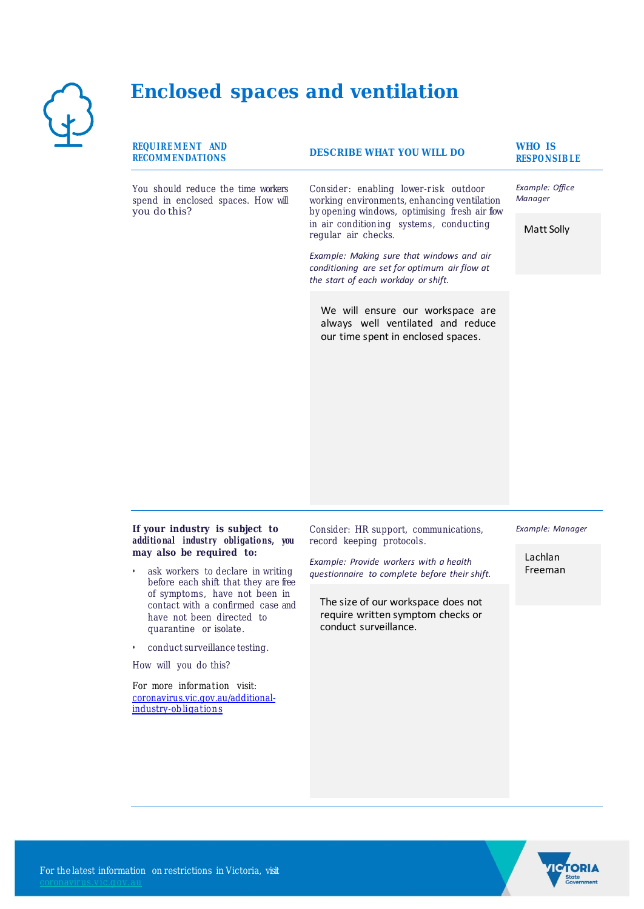

### **Enclosed spaces and ventilation**

| REQUIREMENT AND<br><b>RECOMMENDATIONS</b>                                                | <b>DESCRIBE WHAT YOU WILL DO</b>                                                                                                                                                                        | <b>WHO IS</b><br><b>RESPONSIBLE</b> |
|------------------------------------------------------------------------------------------|---------------------------------------------------------------------------------------------------------------------------------------------------------------------------------------------------------|-------------------------------------|
| You should reduce the time workers<br>spend in enclosed spaces. How will<br>you do this? | Consider: enabling lower-risk outdoor<br>working environments, enhancing ventilation<br>by opening windows, optimising fresh air flow<br>in air conditioning systems, conducting<br>regular air checks. | Example: Office<br>Manager          |
|                                                                                          |                                                                                                                                                                                                         | Matt Solly                          |
|                                                                                          | Example: Making sure that windows and air<br>conditioning are set for optimum air flow at                                                                                                               |                                     |
|                                                                                          | the start of each workday or shift.                                                                                                                                                                     |                                     |
|                                                                                          | We will ensure our workspace are<br>always well ventilated and reduce<br>our time spent in enclosed spaces.                                                                                             |                                     |
|                                                                                          |                                                                                                                                                                                                         |                                     |
|                                                                                          |                                                                                                                                                                                                         |                                     |
|                                                                                          |                                                                                                                                                                                                         |                                     |
|                                                                                          |                                                                                                                                                                                                         |                                     |

#### **If your industry is subject to additio nal indust ry obligatio ns, you may also be required to:**

- ask workers to declare in writing before each shift that they are free of symptoms, have not been in contact with a confirmed case and have not been directed to quarantine or isolate.
- conduct surveillance testing.

How will you do this?

For more information visit: coronavirus.vic.gov.au/additionalindustry-obligations

Consider: HR support, communications, record keeping protocols.

*Example: Provide workers with a health questionnaire to complete before their shift.*

The size of our workspace does not require written symptom checks or conduct surveillance.

*Example: Manager*